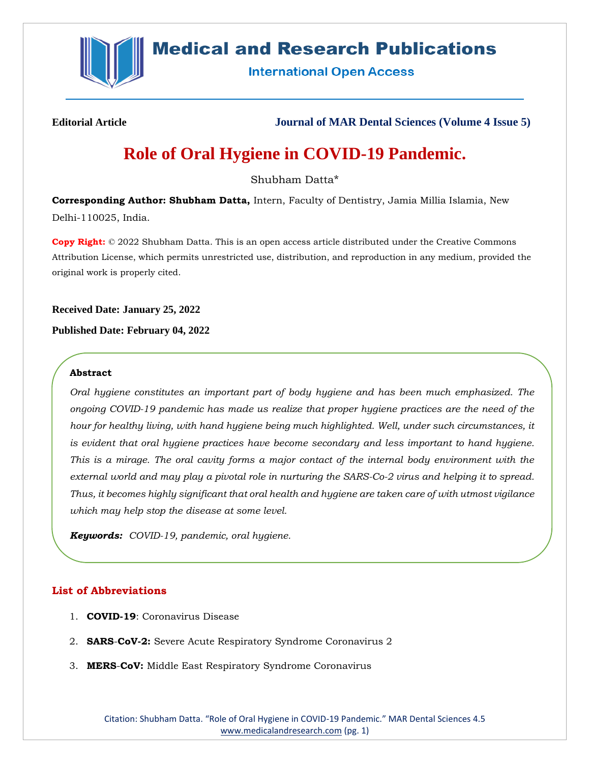

## **Medical and Research Publications**

**International Open Access** 

**Editorial Article Journal of MAR Dental Sciences (Volume 4 Issue 5)**

# **Role of Oral Hygiene in COVID-19 Pandemic.**

Shubham Datta\*

**Corresponding Author: Shubham Datta,** Intern, Faculty of Dentistry, Jamia Millia Islamia, New Delhi-110025, India.

**Copy Right:** © 2022 Shubham Datta. This is an open access article distributed under the Creative Commons Attribution License, which permits unrestricted use, distribution, and reproduction in any medium, provided the original work is properly cited.

**Received Date: January 25, 2022**

**Published Date: February 04, 2022**

## **Abstract**

*Oral hygiene constitutes an important part of body hygiene and has been much emphasized. The ongoing COVID-19 pandemic has made us realize that proper hygiene practices are the need of the hour for healthy living, with hand hygiene being much highlighted. Well, under such circumstances, it is evident that oral hygiene practices have become secondary and less important to hand hygiene. This is a mirage. The oral cavity forms a major contact of the internal body environment with the external world and may play a pivotal role in nurturing the SARS-Co-2 virus and helping it to spread. Thus, it becomes highly significant that oral health and hygiene are taken care of with utmost vigilance which may help stop the disease at some level.*

*Keywords: COVID-19, pandemic, oral hygiene.*

## **List of Abbreviations**

- 1. **COVID-19**: Coronavirus Disease
- 2. **SARS**-**CoV-2:** Severe Acute Respiratory Syndrome Coronavirus 2
- 3. **MERS**-**CoV:** Middle East Respiratory Syndrome Coronavirus

Citation: Shubham Datta. "Role of Oral Hygiene in COVID-19 Pandemic." MAR Dental Sciences 4.5 [www.medicalandresearch.com](http://www.medicalandresearch.com/) (pg. 1)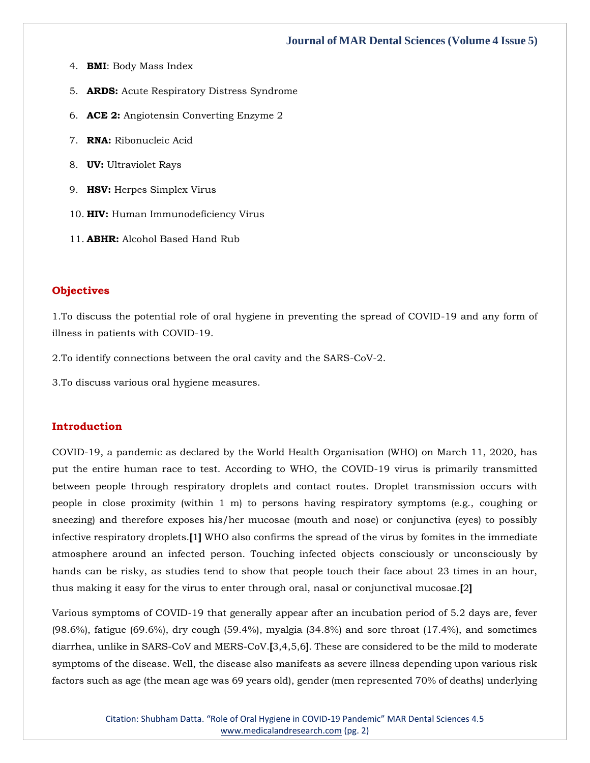- 4. **BMI**: Body Mass Index
- 5. **ARDS:** Acute Respiratory Distress Syndrome
- 6. **ACE 2:** Angiotensin Converting Enzyme 2
- 7. **RNA:** Ribonucleic Acid
- 8. **UV:** Ultraviolet Rays
- 9. **HSV:** Herpes Simplex Virus
- 10. **HIV:** Human Immunodeficiency Virus
- 11. **ABHR:** Alcohol Based Hand Rub

## **Objectives**

1.To discuss the potential role of oral hygiene in preventing the spread of COVID-19 and any form of illness in patients with COVID-19.

2.To identify connections between the oral cavity and the SARS-CoV-2.

3.To discuss various oral hygiene measures.

#### **Introduction**

COVID-19, a pandemic as declared by the World Health Organisation (WHO) on March 11, 2020, has put the entire human race to test. According to WHO, the COVID-19 virus is primarily transmitted between people through respiratory droplets and contact routes. Droplet transmission occurs with people in close proximity (within 1 m) to persons having respiratory symptoms (e.g., coughing or sneezing) and therefore exposes his/her mucosae (mouth and nose) or conjunctiva (eyes) to possibly infective respiratory droplets.**[**1**]** WHO also confirms the spread of the virus by fomites in the immediate atmosphere around an infected person. Touching infected objects consciously or unconsciously by hands can be risky, as studies tend to show that people touch their face about 23 times in an hour, thus making it easy for the virus to enter through oral, nasal or conjunctival mucosae.**[**2**]**

Various symptoms of COVID-19 that generally appear after an incubation period of 5.2 days are, fever (98.6%), fatigue (69.6%), dry cough (59.4%), myalgia (34.8%) and sore throat (17.4%), and sometimes diarrhea, unlike in SARS-CoV and MERS-CoV.**[**3,4,5,6**]**. These are considered to be the mild to moderate symptoms of the disease. Well, the disease also manifests as severe illness depending upon various risk factors such as age (the mean age was 69 years old), gender (men represented 70% of deaths) underlying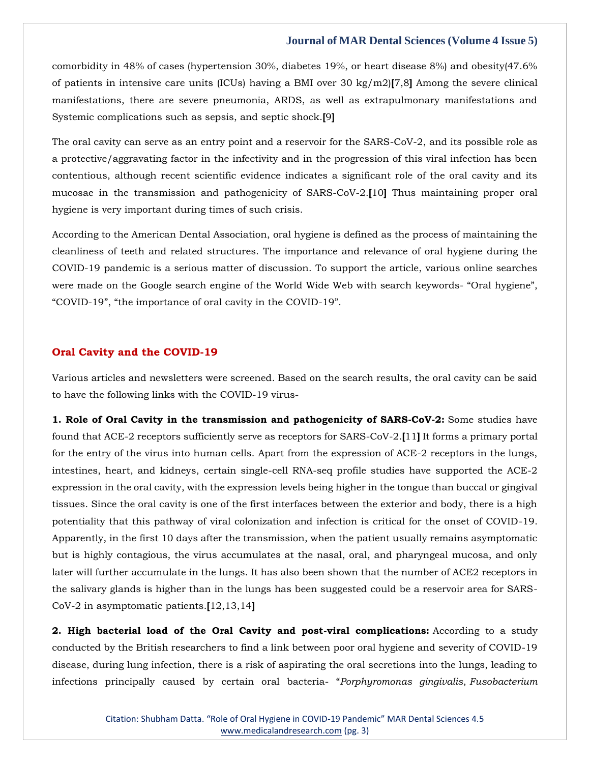comorbidity in 48% of cases (hypertension 30%, diabetes 19%, or heart disease 8%) and obesity(47.6% of patients in intensive care units (ICUs) having a BMI over 30 kg/m2)**[**7,8**]** Among the severe clinical manifestations, there are severe pneumonia, ARDS, as well as extrapulmonary manifestations and Systemic complications such as sepsis, and septic shock.**[**9**]**

The oral cavity can serve as an entry point and a reservoir for the SARS-CoV-2, and its possible role as a protective/aggravating factor in the infectivity and in the progression of this viral infection has been contentious, although recent scientific evidence indicates a significant role of the oral cavity and its mucosae in the transmission and pathogenicity of SARS-CoV-2.**[**10**]** Thus maintaining proper oral hygiene is very important during times of such crisis.

According to the American Dental Association, oral hygiene is defined as the process of maintaining the cleanliness of teeth and related structures. The importance and relevance of oral hygiene during the COVID-19 pandemic is a serious matter of discussion. To support the article, various online searches were made on the Google search engine of the World Wide Web with search keywords- "Oral hygiene", "COVID-19", "the importance of oral cavity in the COVID-19".

## **Oral Cavity and the COVID-19**

Various articles and newsletters were screened. Based on the search results, the oral cavity can be said to have the following links with the COVID-19 virus-

**1. Role of Oral Cavity in the transmission and pathogenicity of SARS-CoV-2:** Some studies have found that ACE-2 receptors sufficiently serve as receptors for SARS-CoV-2.**[**11**]** It forms a primary portal for the entry of the virus into human cells. Apart from the expression of ACE-2 receptors in the lungs, intestines, heart, and kidneys, certain single-cell RNA-seq profile studies have supported the ACE-2 expression in the oral cavity, with the expression levels being higher in the tongue than buccal or gingival tissues. Since the oral cavity is one of the first interfaces between the exterior and body, there is a high potentiality that this pathway of viral colonization and infection is critical for the onset of COVID-19. Apparently, in the first 10 days after the transmission, when the patient usually remains asymptomatic but is highly contagious, the virus accumulates at the nasal, oral, and pharyngeal mucosa, and only later will further accumulate in the lungs. It has also been shown that the number of ACE2 receptors in the salivary glands is higher than in the lungs has been suggested could be a reservoir area for SARS-CoV-2 in asymptomatic patients.**[**12,13,14**]**

**2. High bacterial load of the Oral Cavity and post-viral complications:** According to a study conducted by the British researchers to find a link between poor oral hygiene and severity of COVID-19 disease, during lung infection, there is a risk of aspirating the oral secretions into the lungs, leading to infections principally caused by certain oral bacteria- "*Porphyromonas gingivalis*, *Fusobacterium*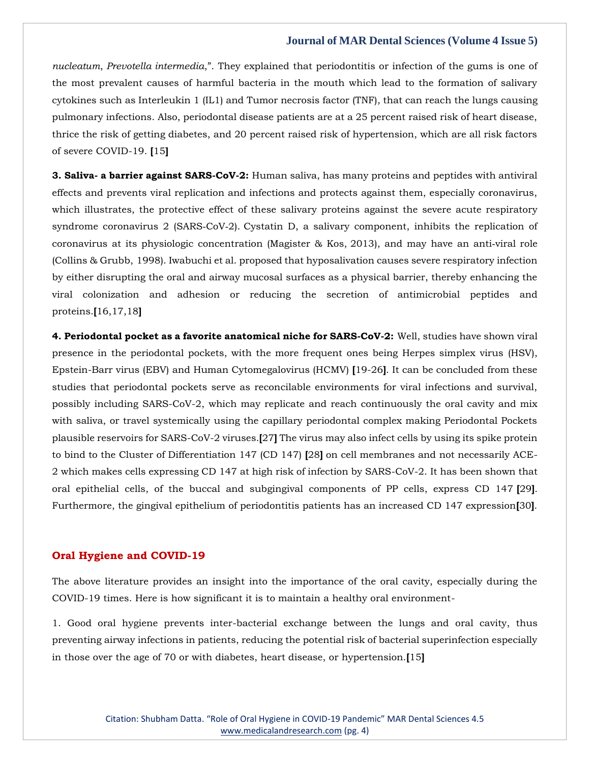*nucleatum*, *Prevotella intermedia*,". They explained that periodontitis or infection of the gums is one of the most prevalent causes of harmful bacteria in the mouth which lead to the formation of salivary cytokines such as Interleukin 1 (IL1) and Tumor necrosis factor (TNF), that can reach the lungs causing pulmonary infections. Also, periodontal disease patients are at a 25 percent raised risk of heart disease, thrice the risk of getting diabetes, and 20 percent raised risk of hypertension, which are all risk factors of severe COVID-19. **[**15**]**

**3. Saliva- a barrier against SARS-CoV-2:** Human saliva, has many proteins and peptides with antiviral effects and prevents viral replication and infections and protects against them, especially coronavirus, which illustrates, the protective effect of these salivary proteins against the severe acute respiratory syndrome coronavirus 2 (SARS-CoV-2). Cystatin D, a salivary component, inhibits the replication of coronavirus at its physiologic concentration (Magister & Kos, 2013), and may have an anti‐viral role (Collins & Grubb, 1998). Iwabuchi et al. proposed that hyposalivation causes severe respiratory infection by either disrupting the oral and airway mucosal surfaces as a physical barrier, thereby enhancing the viral colonization and adhesion or reducing the secretion of antimicrobial peptides and proteins.**[**16,17,18**]**

**4. Periodontal pocket as a favorite anatomical niche for SARS-CoV-2:** Well, studies have shown viral presence in the periodontal pockets, with the more frequent ones being Herpes simplex virus (HSV), Epstein-Barr virus (EBV) and Human Cytomegalovirus (HCMV) **[**19-26**]**. It can be concluded from these studies that periodontal pockets serve as reconcilable environments for viral infections and survival, possibly including SARS-CoV-2, which may replicate and reach continuously the oral cavity and mix with saliva, or travel systemically using the capillary periodontal complex making Periodontal Pockets plausible reservoirs for SARS-CoV-2 viruses.**[**27**]** The virus may also infect cells by using its spike protein to bind to the Cluster of Differentiation 147 (CD 147) **[**28**]** on cell membranes and not necessarily ACE-2 which makes cells expressing CD 147 at high risk of infection by SARS-CoV-2. It has been shown that oral epithelial cells, of the buccal and subgingival components of PP cells, express CD 147 **[**29**]**. Furthermore, the gingival epithelium of periodontitis patients has an increased CD 147 expression**[**30**]**.

## **Oral Hygiene and COVID-19**

The above literature provides an insight into the importance of the oral cavity, especially during the COVID-19 times. Here is how significant it is to maintain a healthy oral environment-

1. Good oral hygiene prevents inter-bacterial exchange between the lungs and oral cavity, thus preventing airway infections in patients, reducing the potential risk of bacterial superinfection especially in those over the age of 70 or with diabetes, heart disease, or hypertension.**[**15**]**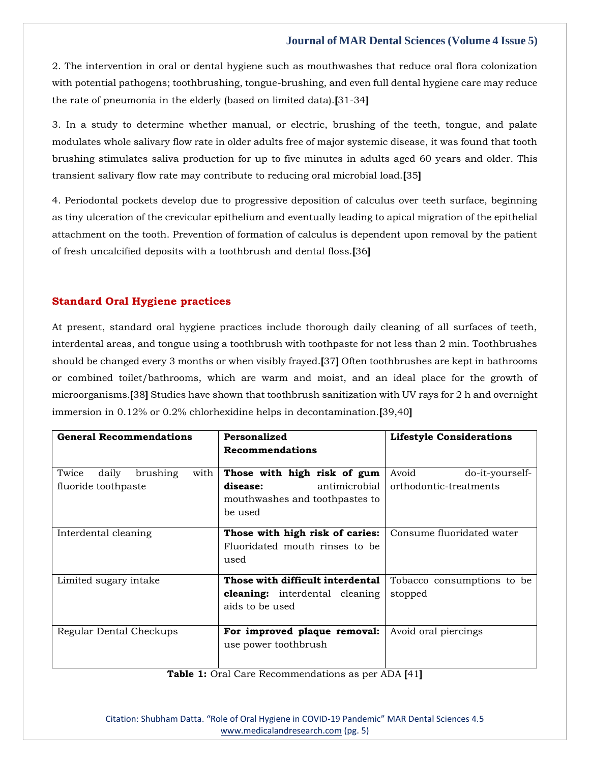2. The intervention in oral or dental hygiene such as mouthwashes that reduce oral flora colonization with potential pathogens; toothbrushing, tongue-brushing, and even full dental hygiene care may reduce the rate of pneumonia in the elderly (based on limited data).**[**31-34**]**

3. In a study to determine whether manual, or electric, brushing of the teeth, tongue, and palate modulates whole salivary flow rate in older adults free of major systemic disease, it was found that tooth brushing stimulates saliva production for up to five minutes in adults aged 60 years and older. This transient salivary flow rate may contribute to reducing oral microbial load.**[**35**]**

4. Periodontal pockets develop due to progressive deposition of calculus over teeth surface, beginning as tiny ulceration of the crevicular epithelium and eventually leading to apical migration of the epithelial attachment on the tooth. Prevention of formation of calculus is dependent upon removal by the patient of fresh uncalcified deposits with a toothbrush and dental floss.**[**36**]**

## **Standard Oral Hygiene practices**

At present, standard oral hygiene practices include thorough daily cleaning of all surfaces of teeth, interdental areas, and tongue using a toothbrush with toothpaste for not less than 2 min. Toothbrushes should be changed every 3 months or when visibly frayed.**[**37**]** Often toothbrushes are kept in bathrooms or combined toilet/bathrooms, which are warm and moist, and an ideal place for the growth of microorganisms.**[**38**]** Studies have shown that toothbrush sanitization with UV rays for 2 h and overnight immersion in 0.12% or 0.2% chlorhexidine helps in decontamination.**[**39,40**]**

| <b>General Recommendations</b>     | Personalized                          | <b>Lifestyle Considerations</b> |
|------------------------------------|---------------------------------------|---------------------------------|
|                                    | Recommendations                       |                                 |
| brushing<br>Twice<br>daily<br>with | Those with high risk of gum           | Avoid<br>do-it-yourself-        |
|                                    |                                       |                                 |
| fluoride toothpaste                | antimicrobial<br>disease:             | orthodontic-treatments          |
|                                    | mouthwashes and toothpastes to        |                                 |
|                                    | be used                               |                                 |
| Interdental cleaning               | Those with high risk of caries:       | Consume fluoridated water       |
|                                    | Fluoridated mouth rinses to be        |                                 |
|                                    | used                                  |                                 |
|                                    |                                       |                                 |
| Limited sugary intake              | Those with difficult interdental      | Tobacco consumptions to be      |
|                                    | <b>cleaning:</b> interdental cleaning | stopped                         |
|                                    | aids to be used                       |                                 |
|                                    |                                       |                                 |
| Regular Dental Checkups            | For improved plaque removal:          | Avoid oral piercings            |
|                                    | use power toothbrush                  |                                 |
|                                    |                                       |                                 |
|                                    |                                       |                                 |

**Table 1:** Oral Care Recommendations as per ADA **[**41**]**

Citation: Shubham Datta. "Role of Oral Hygiene in COVID-19 Pandemic" MAR Dental Sciences 4.5 [www.medicalandresearch.com](http://www.medicalandresearch.com/) (pg. 5)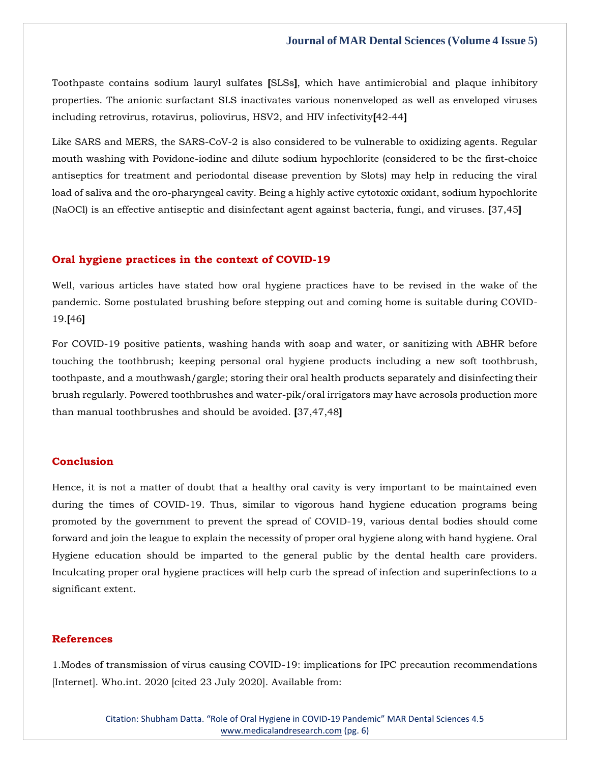Toothpaste contains sodium lauryl sulfates **[**SLSs**]**, which have antimicrobial and plaque inhibitory properties. The anionic surfactant SLS inactivates various nonenveloped as well as enveloped viruses including retrovirus, rotavirus, poliovirus, HSV2, and HIV infectivity**[**42-44**]**

Like SARS and MERS, the SARS-CoV-2 is also considered to be vulnerable to oxidizing agents. Regular mouth washing with Povidone-iodine and dilute sodium hypochlorite (considered to be the first-choice antiseptics for treatment and periodontal disease prevention by Slots) may help in reducing the viral load of saliva and the oro-pharyngeal cavity. Being a highly active cytotoxic oxidant, sodium hypochlorite (NaOCl) is an effective antiseptic and disinfectant agent against bacteria, fungi, and viruses. **[**37,45**]**

#### **Oral hygiene practices in the context of COVID-19**

Well, various articles have stated how oral hygiene practices have to be revised in the wake of the pandemic. Some postulated brushing before stepping out and coming home is suitable during COVID-19.**[**46**]**

For COVID-19 positive patients, washing hands with soap and water, or sanitizing with ABHR before touching the toothbrush; keeping personal oral hygiene products including a new soft toothbrush, toothpaste, and a mouthwash/gargle; storing their oral health products separately and disinfecting their brush regularly. Powered toothbrushes and water-pik/oral irrigators may have aerosols production more than manual toothbrushes and should be avoided. **[**37,47,48**]**

## **Conclusion**

Hence, it is not a matter of doubt that a healthy oral cavity is very important to be maintained even during the times of COVID-19. Thus, similar to vigorous hand hygiene education programs being promoted by the government to prevent the spread of COVID-19, various dental bodies should come forward and join the league to explain the necessity of proper oral hygiene along with hand hygiene. Oral Hygiene education should be imparted to the general public by the dental health care providers. Inculcating proper oral hygiene practices will help curb the spread of infection and superinfections to a significant extent.

## **References**

1.Modes of transmission of virus causing COVID-19: implications for IPC precaution recommendations [Internet]. Who.int. 2020 [cited 23 July 2020]. Available from: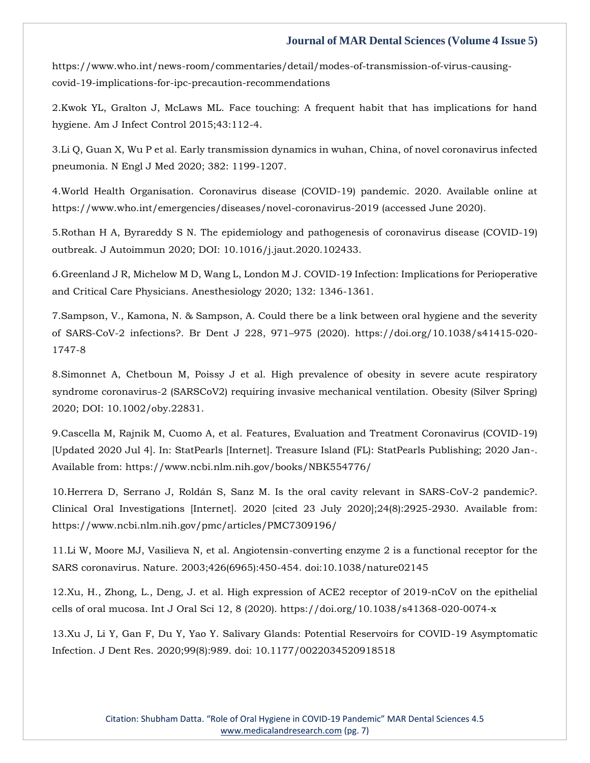https://www.who.int/news-room/commentaries/detail/modes-of-transmission-of-virus-causingcovid-19-implications-for-ipc-precaution-recommendations

2.Kwok YL, Gralton J, McLaws ML. Face touching: A frequent habit that has implications for hand hygiene. Am J Infect Control 2015;43:112-4.

3.Li Q, Guan X, Wu P et al. Early transmission dynamics in wuhan, China, of novel coronavirus infected pneumonia. N Engl J Med 2020; 382: 1199-1207.

4.World Health Organisation. Coronavirus disease (COVID-19) pandemic. 2020. Available online at https://www.who.int/emergencies/diseases/novel-coronavirus-2019 (accessed June 2020).

5.Rothan H A, Byrareddy S N. The epidemiology and pathogenesis of coronavirus disease (COVID-19) outbreak. J Autoimmun 2020; DOI: 10.1016/j.jaut.2020.102433.

6.Greenland J R, Michelow M D, Wang L, London M J. COVID-19 Infection: Implications for Perioperative and Critical Care Physicians. Anesthesiology 2020; 132: 1346-1361.

7.Sampson, V., Kamona, N. & Sampson, A. Could there be a link between oral hygiene and the severity of SARS-CoV-2 infections?. Br Dent J 228, 971–975 (2020). https://doi.org/10.1038/s41415-020- 1747-8

8.Simonnet A, Chetboun M, Poissy J et al. High prevalence of obesity in severe acute respiratory syndrome coronavirus-2 (SARSCoV2) requiring invasive mechanical ventilation. Obesity (Silver Spring) 2020; DOI: 10.1002/oby.22831.

9.Cascella M, Rajnik M, Cuomo A, et al. Features, Evaluation and Treatment Coronavirus (COVID-19) [Updated 2020 Jul 4]. In: StatPearls [Internet]. Treasure Island (FL): StatPearls Publishing; 2020 Jan-. Available from: https://www.ncbi.nlm.nih.gov/books/NBK554776/

10.Herrera D, Serrano J, Roldán S, Sanz M. Is the oral cavity relevant in SARS-CoV-2 pandemic?. Clinical Oral Investigations [Internet]. 2020 [cited 23 July 2020];24(8):2925-2930. Available from: https://www.ncbi.nlm.nih.gov/pmc/articles/PMC7309196/

11.Li W, Moore MJ, Vasilieva N, et al. Angiotensin-converting enzyme 2 is a functional receptor for the SARS coronavirus. Nature. 2003;426(6965):450-454. doi:10.1038/nature02145

12.Xu, H., Zhong, L., Deng, J. et al. High expression of ACE2 receptor of 2019-nCoV on the epithelial cells of oral mucosa. Int J Oral Sci 12, 8 (2020). https://doi.org/10.1038/s41368-020-0074-x

13.Xu J, Li Y, Gan F, Du Y, Yao Y. Salivary Glands: Potential Reservoirs for COVID-19 Asymptomatic Infection. J Dent Res. 2020;99(8):989. doi: 10.1177/0022034520918518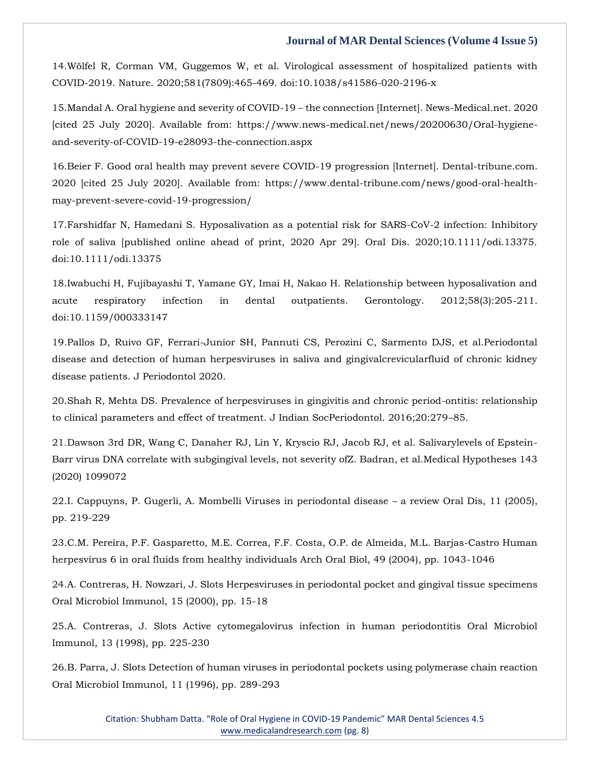14.Wölfel R, Corman VM, Guggemos W, et al. Virological assessment of hospitalized patients with COVID-2019. Nature. 2020;581(7809):465-469. doi:10.1038/s41586-020-2196-x

15.Mandal A. Oral hygiene and severity of COVID-19 – the connection [Internet]. News-Medical.net. 2020 [cited 25 July 2020]. Available from: https://www.news-medical.net/news/20200630/Oral-hygieneand-severity-of-COVID-19-e28093-the-connection.aspx

16.Beier F. Good oral health may prevent severe COVID-19 progression [Internet]. Dental-tribune.com. 2020 [cited 25 July 2020]. Available from: https://www.dental-tribune.com/news/good-oral-healthmay-prevent-severe-covid-19-progression/

17.Farshidfar N, Hamedani S. Hyposalivation as a potential risk for SARS-CoV-2 infection: Inhibitory role of saliva [published online ahead of print, 2020 Apr 29]. Oral Dis. 2020;10.1111/odi.13375. doi:10.1111/odi.13375

18.Iwabuchi H, Fujibayashi T, Yamane GY, Imai H, Nakao H. Relationship between hyposalivation and acute respiratory infection in dental outpatients. Gerontology. 2012;58(3):205-211. doi:10.1159/000333147

19.Pallos D, Ruivo GF, Ferrari-Junior SH, Pannuti CS, Perozini C, Sarmento DJS, et al.Periodontal disease and detection of human herpesviruses in saliva and gingivalcrevicularfluid of chronic kidney disease patients. J Periodontol 2020.

20.Shah R, Mehta DS. Prevalence of herpesviruses in gingivitis and chronic period-ontitis: relationship to clinical parameters and effect of treatment. J Indian SocPeriodontol. 2016;20:279–85.

21.Dawson 3rd DR, Wang C, Danaher RJ, Lin Y, Kryscio RJ, Jacob RJ, et al. Salivarylevels of Epstein-Barr virus DNA correlate with subgingival levels, not severity ofZ. Badran, et al.Medical Hypotheses 143 (2020) 1099072

22.I. Cappuyns, P. Gugerli, A. Mombelli Viruses in periodontal disease – a review Oral Dis, 11 (2005), pp. 219-229

23.C.M. Pereira, P.F. Gasparetto, M.E. Correa, F.F. Costa, O.P. de Almeida, M.L. Barjas-Castro Human herpesvirus 6 in oral fluids from healthy individuals Arch Oral Biol, 49 (2004), pp. 1043-1046

24.A. Contreras, H. Nowzari, J. Slots Herpesviruses in periodontal pocket and gingival tissue specimens Oral Microbiol Immunol, 15 (2000), pp. 15-18

25.A. Contreras, J. Slots Active cytomegalovirus infection in human periodontitis Oral Microbiol Immunol, 13 (1998), pp. 225-230

26.B. Parra, J. Slots Detection of human viruses in periodontal pockets using polymerase chain reaction Oral Microbiol Immunol, 11 (1996), pp. 289-293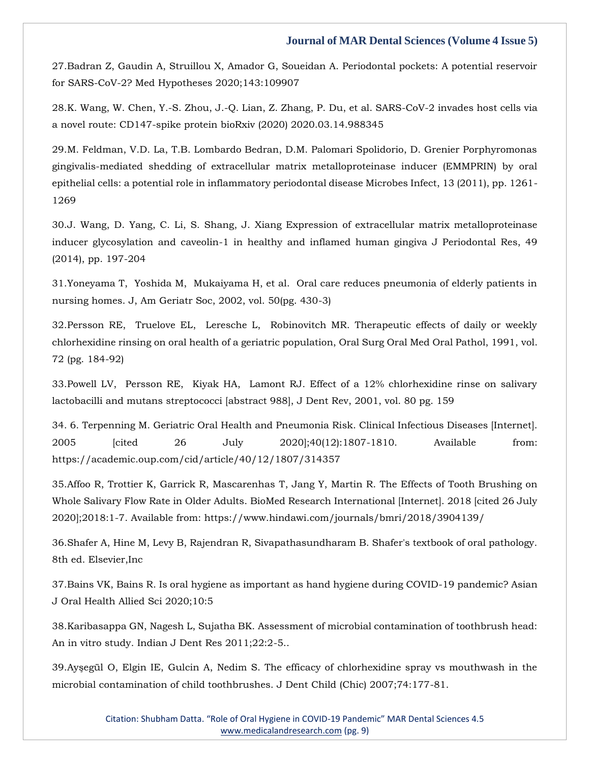27.Badran Z, Gaudin A, Struillou X, Amador G, Soueidan A. Periodontal pockets: A potential reservoir for SARS-CoV-2? Med Hypotheses 2020;143:109907

28.K. Wang, W. Chen, Y.-S. Zhou, J.-Q. Lian, Z. Zhang, P. Du, et al. SARS-CoV-2 invades host cells via a novel route: CD147-spike protein bioRxiv (2020) 2020.03.14.988345

29.M. Feldman, V.D. La, T.B. Lombardo Bedran, D.M. Palomari Spolidorio, D. Grenier Porphyromonas gingivalis-mediated shedding of extracellular matrix metalloproteinase inducer (EMMPRIN) by oral epithelial cells: a potential role in inflammatory periodontal disease Microbes Infect, 13 (2011), pp. 1261- 1269

30.J. Wang, D. Yang, C. Li, S. Shang, J. Xiang Expression of extracellular matrix metalloproteinase inducer glycosylation and caveolin-1 in healthy and inflamed human gingiva J Periodontal Res, 49 (2014), pp. 197-204

31.Yoneyama T, Yoshida M, Mukaiyama H, et al. Oral care reduces pneumonia of elderly patients in nursing homes. J, Am Geriatr Soc, 2002, vol. 50(pg. 430-3)

32.Persson RE, Truelove EL, Leresche L, Robinovitch MR. Therapeutic effects of daily or weekly chlorhexidine rinsing on oral health of a geriatric population, Oral Surg Oral Med Oral Pathol, 1991, vol. 72 (pg. 184-92)

33.Powell LV, Persson RE, Kiyak HA, Lamont RJ. Effect of a 12% chlorhexidine rinse on salivary lactobacilli and mutans streptococci [abstract 988], J Dent Rev, 2001, vol. 80 pg. 159

34. 6. Terpenning M. Geriatric Oral Health and Pneumonia Risk. Clinical Infectious Diseases [Internet]. 2005 [cited 26 July 2020];40(12):1807-1810. Available from: https://academic.oup.com/cid/article/40/12/1807/314357

35.Affoo R, Trottier K, Garrick R, Mascarenhas T, Jang Y, Martin R. The Effects of Tooth Brushing on Whole Salivary Flow Rate in Older Adults. BioMed Research International [Internet]. 2018 [cited 26 July 2020];2018:1-7. Available from: https://www.hindawi.com/journals/bmri/2018/3904139/

36.Shafer A, Hine M, Levy B, Rajendran R, Sivapathasundharam B. Shafer's textbook of oral pathology. 8th ed. Elsevier,Inc

37.Bains VK, Bains R. Is oral hygiene as important as hand hygiene during COVID-19 pandemic? Asian J Oral Health Allied Sci 2020;10:5

38.Karibasappa GN, Nagesh L, Sujatha BK. Assessment of microbial contamination of toothbrush head: An in vitro study. Indian J Dent Res 2011;22:2-5..

39.Ayşegül O, Elgin IE, Gulcin A, Nedim S. The efficacy of chlorhexidine spray vs mouthwash in the microbial contamination of child toothbrushes. J Dent Child (Chic) 2007;74:177-81.